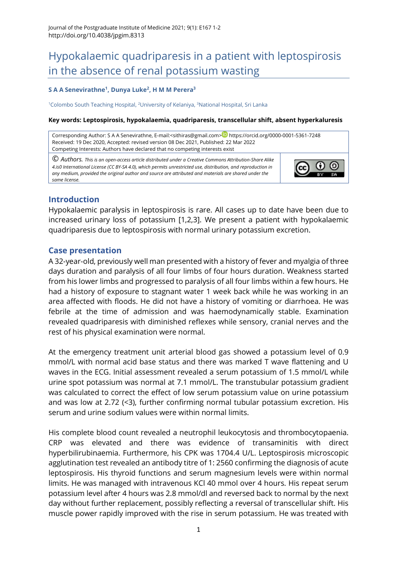# Hypokalaemic quadriparesis in a patient with leptospirosis in the absence of renal potassium wasting

#### **S A A Senevirathne<sup>1</sup> , Dunya Luke<sup>2</sup> , H M M Perera<sup>3</sup>**

<sup>1</sup>Colombo South Teaching Hospital, <sup>2</sup>University of Kelaniya, <sup>3</sup>National Hospital, Sri Lanka

#### **Key words: Leptospirosis, hypokalaemia, quadriparesis, transcellular shift, absent hyperkaluresis**

Corresponding Author: S A A Senevirathne, E-mail:[<sithiras@gmail.com>](mailto:sithiras@gmail.com) <https://orcid.org/0000-0001-5361-7248> Received: 19 Dec 2020, Accepted: revised version 08 Dec 2021, Published: 22 Mar 2022 Competing Interests: Authors have declared that no competing interests exist

© *Authors. This is an open-access article distributed under a [Creative Commons Attribution-Share Alike](http://creativecommons.org/licenses/by-sa/4.0/)  [4.is0 International License](http://creativecommons.org/licenses/by-sa/4.0/) (CC BY-SA 4.0), which permits unrestricted use, distribution, and reproduction in any medium, provided the original author and source are attributed and materials are shared under the same license.* 



### **Introduction**

Hypokalaemic paralysis in leptospirosis is rare. All cases up to date have been due to increased urinary loss of potassium [\[1](#page-1-0)[,2](#page-1-1)[,3\]](#page-1-2). We present a patient with hypokalaemic quadriparesis due to leptospirosis with normal urinary potassium excretion.

#### **Case presentation**

A 32-year-old, previously well man presented with a history of fever and myalgia of three days duration and paralysis of all four limbs of four hours duration. Weakness started from his lower limbs and progressed to paralysis of all four limbs within a few hours. He had a history of exposure to stagnant water 1 week back while he was working in an area affected with floods. He did not have a history of vomiting or diarrhoea. He was febrile at the time of admission and was haemodynamically stable. Examination revealed quadriparesis with diminished reflexes while sensory, cranial nerves and the rest of his physical examination were normal.

At the emergency treatment unit arterial blood gas showed a potassium level of 0.9 mmol/L with normal acid base status and there was marked T wave flattening and U waves in the ECG. Initial assessment revealed a serum potassium of 1.5 mmol/L while urine spot potassium was normal at 7.1 mmol/L. The transtubular potassium gradient was calculated to correct the effect of low serum potassium value on urine potassium and was low at 2.72 (<3), further confirming normal tubular potassium excretion. His serum and urine sodium values were within normal limits.

His complete blood count revealed a neutrophil leukocytosis and thrombocytopaenia. CRP was elevated and there was evidence of transaminitis with direct hyperbilirubinaemia. Furthermore, his CPK was 1704.4 U/L. Leptospirosis microscopic agglutination test revealed an antibody titre of 1: 2560 confirming the diagnosis of acute leptospirosis. His thyroid functions and serum magnesium levels were within normal limits. He was managed with intravenous KCl 40 mmol over 4 hours. His repeat serum potassium level after 4 hours was 2.8 mmol/dl and reversed back to normal by the next day without further replacement, possibly reflecting a reversal of transcellular shift. His muscle power rapidly improved with the rise in serum potassium. He was treated with